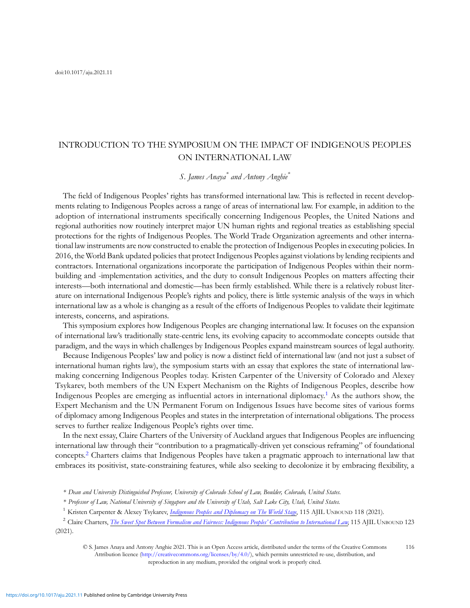## INTRODUCTION TO THE SYMPOSIUM ON THE IMPACT OF INDIGENOUS PEOPLES ON INTERNATIONAL LAW

S. James Anaya<sup>\*</sup> and Antony Anghie<sup>\*</sup>

The field of Indigenous Peoples' rights has transformed international law. This is reflected in recent developments relating to Indigenous Peoples across a range of areas of international law. For example, in addition to the adoption of international instruments specifically concerning Indigenous Peoples, the United Nations and regional authorities now routinely interpret major UN human rights and regional treaties as establishing special protections for the rights of Indigenous Peoples. The World Trade Organization agreements and other international law instruments are now constructed to enable the protection of Indigenous Peoples in executing policies. In 2016, the World Bank updated policies that protect Indigenous Peoples against violations by lending recipients and contractors. International organizations incorporate the participation of Indigenous Peoples within their normbuilding and -implementation activities, and the duty to consult Indigenous Peoples on matters affecting their interests—both international and domestic—has been firmly established. While there is a relatively robust literature on international Indigenous People's rights and policy, there is little systemic analysis of the ways in which international law as a whole is changing as a result of the efforts of Indigenous Peoples to validate their legitimate interests, concerns, and aspirations.

This symposium explores how Indigenous Peoples are changing international law. It focuses on the expansion of international law's traditionally state-centric lens, its evolving capacity to accommodate concepts outside that paradigm, and the ways in which challenges by Indigenous Peoples expand mainstream sources of legal authority.

Because Indigenous Peoples' law and policy is now a distinct field of international law (and not just a subset of international human rights law), the symposium starts with an essay that explores the state of international lawmaking concerning Indigenous Peoples today. Kristen Carpenter of the University of Colorado and Alexey Tsykarev, both members of the UN Expert Mechanism on the Rights of Indigenous Peoples, describe how Indigenous Peoples are emerging as influential actors in international diplomacy.<sup>1</sup> As the authors show, the Expert Mechanism and the UN Permanent Forum on Indigenous Issues have become sites of various forms of diplomacy among Indigenous Peoples and states in the interpretation of international obligations. The process serves to further realize Indigenous People's rights over time.

In the next essay, Claire Charters of the University of Auckland argues that Indigenous Peoples are influencing international law through their "contribution to a pragmatically-driven yet conscious reframing" of foundational concepts.<sup>2</sup> Charters claims that Indigenous Peoples have taken a pragmatic approach to international law that embraces its positivist, state-constraining features, while also seeking to decolonize it by embracing flexibility, a

<sup>2</sup> Claire Charters, *[The Sweet Spot Between Formalism and Fairness: Indigenous Peoples](https://doi.org/10.1017/aju.2021.9)' Contribution to International Law*, 115 AJIL UNBOUND 123 (2021).

<sup>\*</sup> Dean and University Distinguished Professor, University of Colorado School of Law, Boulder, Colorado, United States.

<sup>\*</sup> Professor of Law, National University of Singapore and the University of Utah, Salt Lake City, Utah, United States.

<sup>&</sup>lt;sup>1</sup> Kristen Carpenter & Alexey Tsykarev, [Indigenous Peoples and Diplomacy on The World Stage](https://doi.org/10.1017/aju.2021.7), 115 AJIL UNBOUND 118 (2021).

<sup>©</sup> S. James Anaya and Antony Anghie 2021. This is an Open Access article, distributed under the terms of the Creative Commons Attribution licence [\(http://creativecommons.org/licenses/by/4.0/](http://creativecommons.org/licenses/by/4.0/)), which permits unrestricted re-use, distribution, and reproduction in any medium, provided the original work is properly cited. 116